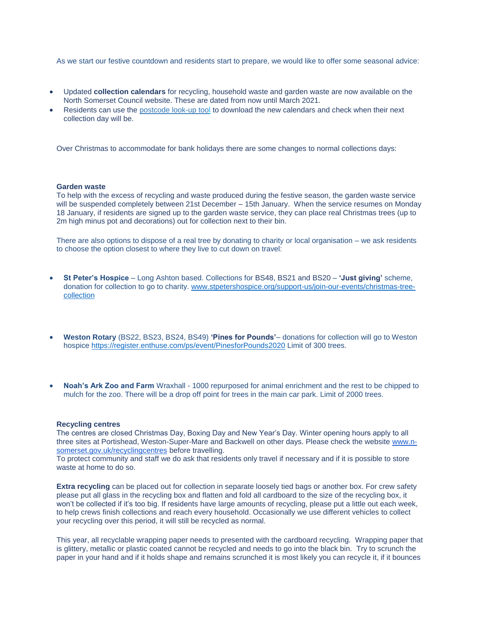As we start our festive countdown and residents start to prepare, we would like to offer some seasonal advice:

- Updated **collection calendars** for recycling, household waste and garden waste are now available on the North Somerset Council website. These are dated from now until March 2021.
- Residents can use the [postcode look-up tool](https://forms.n-somerset.gov.uk/Waste/CollectionSchedule) to download the new calendars and check when their next collection day will be.

Over Christmas to accommodate for bank holidays there are some changes to normal collections days:

## **Garden waste**

To help with the excess of recycling and waste produced during the festive season, the garden waste service will be suspended completely between 21st December – 15th January. When the service resumes on Monday 18 January, if residents are signed up to the garden waste service, they can place real Christmas trees (up to 2m high minus pot and decorations) out for collection next to their bin.

There are also options to dispose of a real tree by donating to charity or local organisation – we ask residents to choose the option closest to where they live to cut down on travel:

- **St Peter's Hospice** Long Ashton based. Collections for BS48, BS21 and BS20 **'Just giving'** scheme, donation for collection to go to charity. [www.stpetershospice.org/support-us/join-our-events/christmas-tree](http://www.stpetershospice.org/support-us/join-our-events/christmas-tree-collection)[collection](http://www.stpetershospice.org/support-us/join-our-events/christmas-tree-collection)
- **Weston Rotary** (BS22, BS23, BS24, BS49) **'Pines for Pounds'** donations for collection will go to Weston hospice <https://register.enthuse.com/ps/event/PinesforPounds2020> Limit of 300 trees.
- **Noah's Ark Zoo and Farm** Wraxhall 1000 repurposed for animal enrichment and the rest to be chipped to mulch for the zoo. There will be a drop off point for trees in the main car park. Limit of 2000 trees.

## **Recycling centres**

The centres are closed Christmas Day, Boxing Day and New Year's Day. Winter opening hours apply to all three sites at Portishead, Weston-Super-Mare and Backwell on other days. Please check the website [www.n](http://www.n-somerset.gov.uk/recyclingcentres)[somerset.gov.uk/recyclingcentres](http://www.n-somerset.gov.uk/recyclingcentres) before travelling.

To protect community and staff we do ask that residents only travel if necessary and if it is possible to store waste at home to do so.

**Extra recycling** can be placed out for collection in separate loosely tied bags or another box. For crew safety please put all glass in the recycling box and flatten and fold all cardboard to the size of the recycling box, it won't be collected if it's too big. If residents have large amounts of recycling, please put a little out each week, to help crews finish collections and reach every household. Occasionally we use different vehicles to collect your recycling over this period, it will still be recycled as normal.

This year, all recyclable wrapping paper needs to presented with the cardboard recycling. Wrapping paper that is glittery, metallic or plastic coated cannot be recycled and needs to go into the black bin. Try to scrunch the paper in your hand and if it holds shape and remains scrunched it is most likely you can recycle it, if it bounces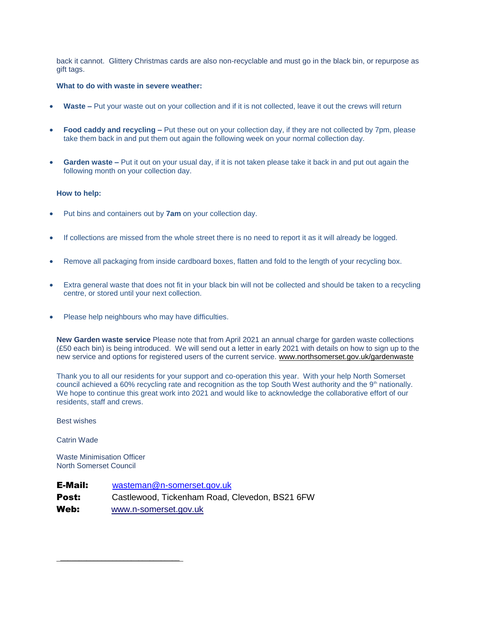back it cannot. Glittery Christmas cards are also non-recyclable and must go in the black bin, or repurpose as gift tags.

## **What to do with waste in severe weather:**

- **Waste –** Put your waste out on your collection and if it is not collected, leave it out the crews will return
- **Food caddy and recycling –** Put these out on your collection day, if they are not collected by 7pm, please take them back in and put them out again the following week on your normal collection day.
- **Garden waste –** Put it out on your usual day, if it is not taken please take it back in and put out again the following month on your collection day.

## **How to help:**

- Put bins and containers out by **7am** on your collection day.
- If collections are missed from the whole street there is no need to report it as it will already be logged.
- Remove all packaging from inside cardboard boxes, flatten and fold to the length of your recycling box.
- Extra general waste that does not fit in your black bin will not be collected and should be taken to a recycling centre, or stored until your next collection.
- Please help neighbours who may have difficulties.

**New Garden waste service** Please note that from April 2021 an annual charge for garden waste collections (£50 each bin) is being introduced. We will send out a letter in early 2021 with details on how to sign up to the new service and options for registered users of the current service. [www.northsomerset.gov.uk/gardenwaste](http://www.northsomerset.gov.uk/gardenwaste)

Thank you to all our residents for your support and co-operation this year. With your help North Somerset council achieved a 60% recycling rate and recognition as the top South West authority and the 9<sup>th</sup> nationally. We hope to continue this great work into 2021 and would like to acknowledge the collaborative effort of our residents, staff and crews.

Best wishes

Catrin Wade

Waste Minimisation Officer North Somerset Council

\_\_\_\_\_\_\_\_\_\_\_\_\_\_\_\_\_\_\_\_\_\_\_\_\_\_\_\_\_\_\_\_

E-Mail: [wasteman@n-somerset.gov.uk](mailto:wasteman@n-somerset.gov.uk) Post: Castlewood, Tickenham Road, Clevedon, BS21 6FW Web: [www.n-somerset.gov.uk](http://www.n-somerset.gov.uk/)